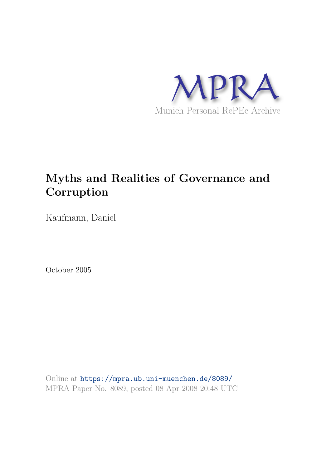

# **Myths and Realities of Governance and Corruption**

Kaufmann, Daniel

October 2005

Online at https://mpra.ub.uni-muenchen.de/8089/ MPRA Paper No. 8089, posted 08 Apr 2008 20:48 UTC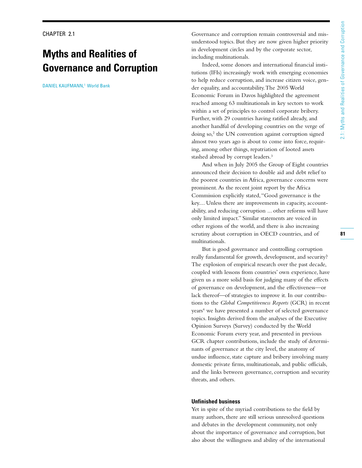# **Myths and Realities of Governance and Corruption**

DANIEL KAUFMANN,<sup>1</sup> World Bank

Governance and corruption remain controversial and misunderstood topics. But they are now given higher priority in development circles and by the corporate sector, including multinationals.

Indeed, some donors and international financial institutions (IFIs) increasingly work with emerging economies to help reduce corruption, and increase citizen voice, gender equality, and accountability.The 2005 World Economic Forum in Davos highlighted the agreement reached among 63 multinationals in key sectors to work within a set of principles to control corporate bribery. Further, with 29 countries having ratified already, and another handful of developing countries on the verge of doing so,<sup>2</sup> the UN convention against corruption signed almost two years ago is about to come into force, requiring, among other things, repatriation of looted assets stashed abroad by corrupt leaders.<sup>3</sup>

And when in July 2005 the Group of Eight countries announced their decision to double aid and debt relief to the poorest countries in Africa, governance concerns were prominent.As the recent joint report by the Africa Commission explicitly stated,"Good governance is the key.... Unless there are improvements in capacity, accountability, and reducing corruption ... other reforms will have only limited impact." Similar statements are voiced in other regions of the world, and there is also increasing scrutiny about corruption in OECD countries, and of multinationals.

But is good governance and controlling corruption really fundamental for growth, development, and security? The explosion of empirical research over the past decade, coupled with lessons from countries' own experience, have given us a more solid basis for judging many of the effects of governance on development, and the effectiveness—or lack thereof—of strategies to improve it. In our contributions to the *Global Competitiveness Reports* (GCR) in recent years<sup>4</sup> we have presented a number of selected governance topics. Insights derived from the analyses of the Executive Opinion Surveys (Survey) conducted by the World Economic Forum every year, and presented in previous GCR chapter contributions, include the study of determinants of governance at the city level, the anatomy of undue influence, state capture and bribery involving many domestic private firms, multinationals, and public officials, and the links between governance, corruption and security threats, and others.

#### **Unfinished business**

Yet in spite of the myriad contributions to the field by many authors, there are still serious unresolved questions and debates in the development community, not only about the importance of governance and corruption, but also about the willingness and ability of the international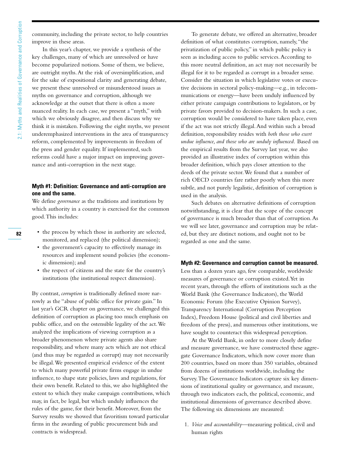community, including the private sector, to help countries improve in these areas.

In this year's chapter, we provide a synthesis of the key challenges, many of which are unresolved or have become popularized notions. Some of them, we believe, are outright myths.At the risk of oversimplification, and for the sake of expositional clarity and generating debate, we present these unresolved or misunderstood issues as myths on governance and corruption, although we acknowledge at the outset that there is often a more nuanced reality. In each case, we present a "myth," with which we obviously disagree, and then discuss why we think it is mistaken. Following the eight myths, we present underemphasized interventions in the area of transparency reform, complemented by improvements in freedom of the press and gender equality. If implemented, such reforms could have a major impact on improving governance and anti-corruption in the next stage.

# **Myth #1: Definition: Governance and anti-corruption are one and the same.**

We define *governance* as the traditions and institutions by which authority in a country is exercised for the common good.This includes:

- the process by which those in authority are selected, monitored, and replaced (the political dimension);
- the government's capacity to effectively manage its resources and implement sound policies (the economic dimension); and
- the respect of citizens and the state for the country's institutions (the institutional respect dimension).

By contrast, *corruption* is traditionally defined more narrowly as the "abuse of public office for private gain." In last year's GCR chapter on governance, we challenged this definition of corruption as placing too much emphasis on public office, and on the ostensible legality of the act.We analyzed the implications of viewing corruption as a broader phenomenon where private agents also share responsibility, and where many acts which are not ethical (and thus may be regarded as corrupt) may not necessarily be illegal.We presented empirical evidence of the extent to which many powerful private firms engage in undue influence, to shape state policies, laws and regulations, for their own benefit. Related to this, we also highlighted the extent to which they make campaign contributions, which may, in fact, be legal, but which unduly influences the rules of the game, for their benefit. Moreover, from the Survey results we showed that favoritism toward particular firms in the awarding of public procurement bids and contracts is widespread.

To generate debate, we offered an alternative, broader definition of what constitutes corruption, namely,"the privatization of public policy," in which public policy is seen as including access to public services.According to this more neutral definition, an act may not necessarily be illegal for it to be regarded as corrupt in a broader sense. Consider the situation in which legislative votes or executive decisions in sectoral policy-making—e.g., in telecommunications or energy—have been unduly influenced by either private campaign contributions to legislators, or by private favors provided to decision-makers. In such a case, corruption would be considered to have taken place, even if the act was not strictly illegal.And within such a broad definition, responsibility resides with *both those who exert undue influence, and those who are unduly influenced.* Based on the empirical results from the Survey last year, we also provided an illustrative index of corruption within this broader definition, which pays closer attention to the deeds of the private sector.We found that a number of rich OECD countries fare rather poorly when this more subtle, and not purely legalistic, definition of corruption is used in the analysis.

Such debates on alternative definitions of corruption notwithstanding, it is clear that the scope of the concept of governance is much broader than that of corruption.As we will see later, governance and corruption may be related, but they are distinct notions, and ought not to be regarded as one and the same.

# **Myth #2: Governance and corruption cannot be measured.**

Less than a dozen years ago, few comparable, worldwide measures of governance or corruption existed.Yet in recent years, through the efforts of institutions such as the World Bank (the Governance Indicators), the World Economic Forum (the Executive Opinion Survey), Transparency International (Corruption Perception Index), Freedom House (political and civil liberties and freedom of the press), and numerous other institutions, we have sought to counteract this widespread perception.

At the World Bank, in order to more closely define and measure governance, we have constructed these aggregate Governance Indicators, which now cover more than 200 countries, based on more than 350 variables, obtained from dozens of institutions worldwide, including the Survey.The Governance Indicators capture six key dimensions of institutional quality or governance, and measure, through two indicators each, the political, economic, and institutional dimensions of governance described above. The following six dimensions are measured:

1. *Voice and accountability*—measuring political, civil and human rights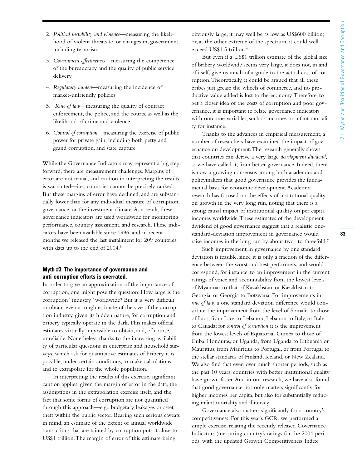- 2. *Political instability and violence*—measuring the likelihood of violent threats to, or changes in, government, including terrorism
- 3. *Government effectiveness*—measuring the competence of the bureaucracy and the quality of public service delivery
- 4. *Regulatory burden*—measuring the incidence of market-unfriendly policies
- 5. *Rule of law*—measuring the quality of contract enforcement, the police, and the courts, as well as the likelihood of crime and violence
- 6. *Control of corruption*—measuring the exercise of public power for private gain, including both petty and grand corruption, and state capture

While the Governance Indicators may represent a big step forward, there are measurement challenges. Margins of error are not trivial, and caution in interpreting the results is warranted—i.e., countries cannot be precisely ranked. But these margins of error have declined, and are substantially lower than for any individual measure of corruption, governance, or the investment climate.As a result, these governance indicators are used worldwide for monitoring performance, country assessment, and research.These indicators have been available since 1996, and in recent months we released the last installment for 209 countries, with data up to the end of 2004.<sup>5</sup>

# **Myth #3: The importance of governance and anti-corruption efforts is overrated.**

In order to give an approximation of the importance of corruption, one might pose the question: How large is the corruption "industry" worldwide? But it is very difficult to obtain even a rough estimate of the size of the corruption industry, given its hidden nature, for corruption and bribery typically operate in the dark.This makes official estimates virtually impossible to obtain, and, of course, unreliable. Nonetheless, thanks to the increasing availability of particular questions in enterprise and household surveys, which ask for quantitative estimates of bribery, it is possible, under certain conditions, to make calculations, and to extrapolate for the whole population.

In interpreting the results of this exercise, significant caution applies, given the margin of error in the data, the assumptions in the extrapolation exercise itself, and the fact that some forms of corruption are not quantified through this approach—e.g., budgetary leakages or asset theft within the public sector. Bearing such serious caveats in mind, an estimate of the extent of annual worldwide transactions that are tainted by corruption puts it close to US\$1 trillion.The margin of error of this estimate being

obviously large, it may well be as low as US\$600 billion; or, at the other extreme of the spectrum, it could well exceed US\$1.5 trillion.<sup>6</sup>

But even if a US\$1 trillion estimate of the global size of bribery worldwide seems very large, it does not, in and of itself, give us much of a guide to the actual cost of corruption.Theoretically, it could be argued that all these bribes just grease the wheels of commerce, and no productive value added is lost to the economy.Therefore, to get a closer idea of the costs of corruption and poor governance, it is important to relate governance indicators with outcome variables, such as incomes or infant mortality, for instance.

Thanks to the advances in empirical measurement, a number of researchers have examined the impact of governance on development.The research generally shows that countries can derive a very large *development dividend,* as we have called it, from better governance. Indeed, there is now a growing consensus among both academics and policymakers that good governance provides the fundamental basis for economic development.Academic research has focused on the effects of institutional quality on growth in the very long run, noting that there is a strong causal impact of institutional quality on per capita incomes worldwide.These estimates of the development dividend of good governance suggest that a realistic onestandard-deviation improvement in governance would raise incomes in the long run by about two- to threefold.<sup>7</sup>

Such improvement in governance by one standard deviation is feasible, since it is only a fraction of the difference between the worst and best performers, and would correspond, for instance, to an improvement in the current ratings of voice and accountability from the lowest levels of Myanmar to that of Kazakhstan, or Kazakhstan to Georgia, or Georgia to Botswana. For improvements in *rule of law,* a one standard deviation difference would constitute the improvement from the level of Somalia to those of Laos, from Laos to Lebanon, Lebanon to Italy, or Italy to Canada; for *control of corruption* it is the improvement from the lowest levels of Equatorial Guinea to those of Cuba, Honduras, or Uganda, from Uganda to Lithuania or Mauritius, from Mauritius to Portugal, or from Portugal to the stellar standards of Finland, Iceland, or New Zealand. We also find that even over much shorter periods, such as the past 10 years, countries with better institutional quality have grown faster.And in our research, we have also found that good governance not only matters significantly for higher incomes per capita, but also for substantially reducing infant mortality and illiteracy.

Governance also matters significantly for a country's competitiveness. For this year's GCR, we performed a simple exercise, relating the recently released Governance Indicators (measuring country's ratings for the 2004 period), with the updated Growth Competitiveness Index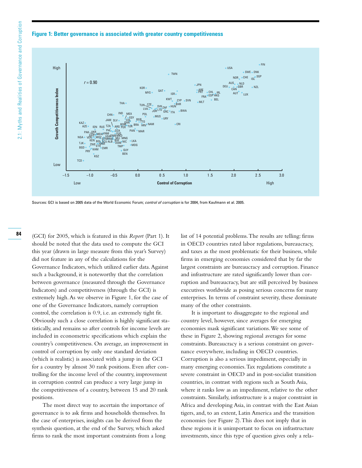#### **Figure 1: Better governance is associated with greater country competitiveness**



Sources: GCI is based on 2005 data of the World Economic Forum; control of corruption is for 2004, from Kaufmann et al. 2005.

(GCI) for 2005, which is featured in this *Report* (Part 1). It should be noted that the data used to compute the GCI this year (drawn in large measure from this year's Survey) did not feature in any of the calculations for the Governance Indicators, which utilized earlier data.Against such a background, it is noteworthy that the correlation between governance (measured through the Governance Indicators) and competitiveness (through the GCI) is extremely high.As we observe in Figure 1, for the case of one of the Governance Indicators, namely corruption control, the correlation is 0.9, i.e. an extremely tight fit. Obviously such a close correlation is highly significant statistically, and remains so after controls for income levels are included in econometric specifications which explain the country's competitiveness. On average, an improvement in control of corruption by only one standard deviation (which is realistic) is associated with a jump in the GCI for a country by almost 30 rank positions. Even after controlling for the income level of the country, improvement in corruption control can produce a very large jump in the competitiveness of a country, between 15 and 20 rank positions.

The most direct way to ascertain the importance of governance is to ask firms and households themselves. In the case of enterprises, insights can be derived from the synthesis question, at the end of the Survey, which asked firms to rank the most important constraints from a long list of 14 potential problems.The results are telling: firms in OECD countries rated labor regulations, bureaucracy, and taxes as the most problematic for their business, while firms in emerging economies considered that by far the largest constraints are bureaucracy and corruption. Finance and infrastructure are rated significantly lower than corruption and bureaucracy, but are still perceived by business executives worldwide as posing serious concerns for many enterprises. In terms of constraint severity, these dominate many of the other constraints.

It is important to disaggregate to the regional and country level, however, since averages for emerging economies mask significant variations.We see some of these in Figure 2, showing regional averages for some constraints. Bureaucracy is a serious constraint on governance everywhere, including in OECD countries. Corruption is also a serious impediment, especially in many emerging economies.Tax regulations constitute a severe constraint in OECD and in post-socialist transition countries, in contrast with regions such as South Asia, where it ranks low as an impediment, relative to the other constraints. Similarly, infrastructure is a major constraint in Africa and developing Asia, in contrast with the East Asian tigers, and, to an extent, Latin America and the transition economies (see Figure 2).This does not imply that in these regions it is unimportant to focus on infrastructure investments, since this type of question gives only a rela-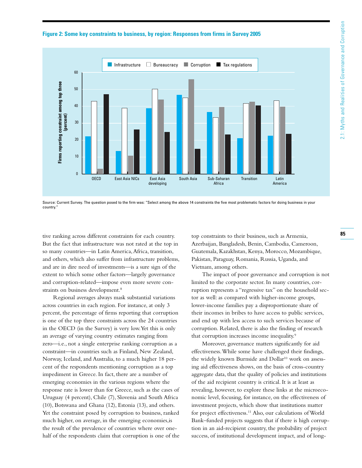



Source: Current Survey. The question posed to the firm was: "Select among the above 14 constraints the five most problematic factors for doing business in your country."

tive ranking across different constraints for each country. But the fact that infrastructure was not rated at the top in so many countries—in Latin America,Africa, transition, and others, which also suffer from infrastructure problems, and are in dire need of investments—is a sure sign of the extent to which some other factors—largely governance and corruption-related—impose even more severe constraints on business development.<sup>8</sup>

Regional averages always mask substantial variations across countries in each region. For instance, at only 3 percent, the percentage of firms reporting that corruption is one of the top three constraints across the 24 countries in the OECD (in the Survey) is very low.Yet this is only an average of varying country estimates ranging from zero—i.e., not a single enterprise ranking corruption as a constraint—in countries such as Finland, New Zealand, Norway, Iceland, and Australia, to a much higher 18 percent of the respondents mentioning corruption as a top impediment in Greece. In fact, there are a number of emerging economies in the various regions where the response rate is lower than for Greece, such as the cases of Uruguay (4 percent), Chile (7), Slovenia and South Africa (10), Botswana and Ghana (12), Estonia (13), and others. Yet the constraint posed by corruption to business, ranked much higher, on average, in the emerging economies,is the result of the prevalence of countries where over onehalf of the respondents claim that corruption is one of the top constraints to their business, such as Armenia, Azerbaijan, Bangladesh, Benin, Cambodia, Cameroon, Guatemala, Kazakhstan, Kenya, Morocco, Mozambique, Pakistan, Paraguay, Romania, Russia, Uganda, and Vietnam, among others.

The impact of poor governance and corruption is not limited to the corporate sector. In many countries, corruption represents a "regressive tax" on the household sector as well: as compared with higher-income groups, lower-income families pay a disproportionate share of their incomes in bribes to have access to public services, and end up with less access to such services because of corruption. Related, there is also the finding of research that corruption increases income inequality.<sup>9</sup>

Moreover, governance matters significantly for aid effectiveness.While some have challenged their findings, the widely known Burnside and Dollar<sup>10</sup> work on assessing aid effectiveness shows, on the basis of cross-country aggregate data, that the quality of policies and institutions of the aid recipient country is critical. It is at least as revealing, however, to explore these links at the microeconomic level, focusing, for instance, on the effectiveness of investment projects, which show that institutions matter for project effectiveness.<sup>11</sup> Also, our calculations of World Bank–funded projects suggests that if there is high corruption in an aid-recipient country, the probability of project success, of institutional development impact, and of long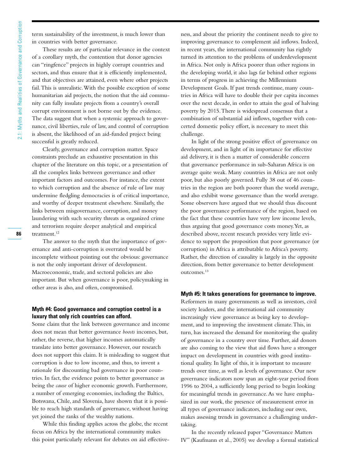term sustainability of the investment, is much lower than in countries with better governance.

These results are of particular relevance in the context of a corollary myth, the contention that donor agencies can "ringfence" projects in highly corrupt countries and sectors, and thus ensure that it is efficiently implemented, and that objectives are attained, even where other projects fail.This is unrealistic.With the possible exception of some humanitarian aid projects, the notion that the aid community can fully insulate projects from a country's overall corrupt environment is not borne out by the evidence. The data suggest that when a systemic approach to governance, civil liberties, rule of law, and control of corruption is absent, the likelihood of an aid-funded project being successful is greatly reduced.

Clearly, governance and corruption matter. Space constraints preclude an exhaustive presentation in this chapter of the literature on this topic, or a presentation of all the complex links between governance and other important factors and outcomes. For instance, the extent to which corruption and the absence of rule of law may undermine fledgling democracies is of critical importance, and worthy of deeper treatment elsewhere. Similarly, the links between misgovernance, corruption, and money laundering with such security threats as organized crime and terrorism require deeper analytical and empirical treatment.<sup>12</sup>

The answer to the myth that the importance of governance and anti-corruption is overrated would be incomplete without pointing out the obvious: governance is not the only important driver of development. Macroeconomic, trade, and sectoral policies are also important. But when governance is poor, policymaking in other areas is also, and often, compromised.

# **Myth #4: Good governance and corruption control is a luxury that only rich countries can afford.**

Some claim that the link between governance and income does not mean that better governance *boosts* incomes, but, rather, the reverse, that higher incomes automatically translate into better governance. However, our research does not support this claim. It is misleading to suggest that corruption is due to low income, and thus, to invent a rationale for discounting bad governance in poor countries. In fact, the evidence points to better governance as being the *cause* of higher economic growth. Furthermore, a number of emerging economies, including the Baltics, Botswana, Chile, and Slovenia, have shown that it is possible to reach high standards of governance, without having yet joined the ranks of the wealthy nations.

While this finding applies across the globe, the recent focus on Africa by the international community makes this point particularly relevant for debates on aid effective-

ness, and about the priority the continent needs to give to improving governance to complement aid inflows. Indeed, in recent years, the international community has rightly turned its attention to the problems of underdevelopment in Africa. Not only is Africa poorer than other regions in the developing world, it also lags far behind other regions in terms of progress in achieving the Millennium Development Goals. If past trends continue, many countries in Africa will have to double their per capita incomes over the next decade, in order to attain the goal of halving poverty by 2015.There is widespread consensus that a combination of substantial aid inflows, together with concerted domestic policy effort, is necessary to meet this challenge.

In light of the strong positive effect of governance on development, and in light of its importance for effective aid delivery, it is then a matter of considerable concern that governance performance in sub-Saharan Africa is on average quite weak. Many countries in Africa are not only poor, but also poorly governed. Fully 38 out of 46 countries in the region are both poorer than the world average, and also exhibit worse governance than the world average. Some observers have argued that we should thus discount the poor governance performance of the region, based on the fact that these countries have very low income levels, thus arguing that good governance costs money.Yet, as described above, recent research provides very little evidence to support the proposition that poor governance (or corruption) in Africa is attributable to Africa's poverty. Rather, the direction of causality is largely in the opposite direction, from better governance to better development outcomes.<sup>13</sup>

#### **Myth #5: It takes generations for governance to improve.**

Reformers in many governments as well as investors, civil society leaders, and the international aid community increasingly view governance as being key to development, and to improving the investment climate.This, in turn, has increased the demand for monitoring the quality of governance in a country over time. Further, aid donors are also coming to the view that aid flows have a stronger impact on development in countries with good institutional quality. In light of this, it is important to measure trends over time, as well as levels of governance. Our new governance indicators now span an eight-year period from 1996 to 2004, a sufficiently long period to begin looking for meaningful trends in governance.As we have emphasized in our work, the presence of measurement error in all types of governance indicators, including our own, makes assessing trends in governance a challenging undertaking.

In the recently released paper "Governance Matters IV" (Kaufmann et al., 2005) we develop a formal statistical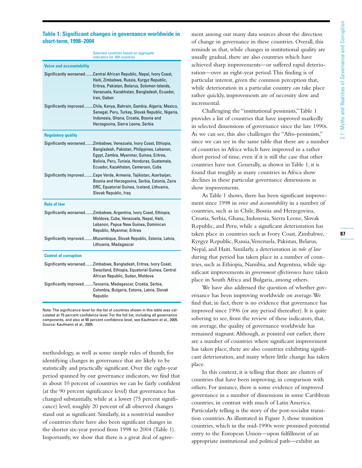#### **Table 1: Significant changes in governance worldwide in short-term, 1998–2004**

#### Selected countries based on aggregate indicators for 209 countries

| <b>Voice and accountability</b> |                                                                                                                                                                                                                                                     |
|---------------------------------|-----------------------------------------------------------------------------------------------------------------------------------------------------------------------------------------------------------------------------------------------------|
|                                 | Significantly worsenedCentral African Republic, Nepal, Ivory Coast,<br>Haiti, Zimbabwe, Russia, Kyrgyz Republic,<br>Eritrea, Pakistan, Belarus, Solomon Islands,<br>Venezuela, Kazakhstan, Bangladesh, Ecuador,<br>Iran, Gabon                      |
|                                 | Significantly improved Chile, Kenya, Bahrain, Gambia, Algeria, Mexico,<br>Senegal, Peru, Turkey, Slovak Republic, Nigeria,<br>Indonesia, Ghana, Croatia, Bosnia and<br>Herzegovina, Sierra Leone, Serbia                                            |
| <b>Regulatory quality</b>       |                                                                                                                                                                                                                                                     |
|                                 | Significantly worsenedZimbabwe, Venezuela, Ivory Coast, Ethiopia,<br>Bangladesh, Pakistan, Philippines, Lebanon,<br>Egypt, Zambia, Myanmar, Guinea, Eritrea,<br>Bolivia, Peru, Tunisia, Honduras, Guatemala,<br>Ecuador, Kazakhstan, Cameroon, Cuba |
|                                 | Significantly improved Cape Verde, Armenia, Tajikistan, Azerbaijan,<br>Bosnia and Herzegovina, Serbia, Estonia, Zaire<br>DRC, Equatorial Guinea, Iceland, Lithuania,<br>Slovak Republic, Iraq                                                       |
| <b>Rule of law</b>              |                                                                                                                                                                                                                                                     |
|                                 | Significantly worsened Zimbabwe, Argentina, Ivory Coast, Ethiopia,<br>Moldova, Cuba, Venezuela, Nepal, Haiti,<br>Lebanon, Papua New Guinea, Dominican<br>Republic, Myanmar, Eritrea                                                                 |
|                                 | Significantly improvedMozambique, Slovak Republic, Estonia, Latvia,<br>Lithuania, Madagascar                                                                                                                                                        |
| <b>Control of corruption</b>    |                                                                                                                                                                                                                                                     |
|                                 | Significantly worsenedZimbabwe, Bangladesh, Eritrea, Ivory Coast,<br>Swaziland, Ethiopia, Equatorial Guinea, Central<br>African Republic, Sudan, Moldova                                                                                            |
|                                 | Significantly improved Tanzania, Madagascar, Croatia, Serbia,<br>Colombia, Bulgaria, Estonia, Latvia, Slovak<br>Republic                                                                                                                            |

Note: The significance level for the list of countries shown in this table was calculated at 75 percent confidence level. For the full list, including all governance components, and also at 90 percent confidence level, see Kaufmann et al., 2005. Source: Kaufmann et al., 2005.

methodology, as well as some simple rules of thumb, for identifying changes in governance that are likely to be statistically and practically significant. Over the eight-year period spanned by our governance indicators, we find that in about 10 percent of countries we can be fairly confident (at the 90 percent significance level) that governance has changed substantially, while at a lower (75 percent significance) level, roughly 20 percent of all observed changes stand out as significant. Similarly, in a nontrivial number of countries there have also been significant changes in the shorter six-year period from 1998 to 2004 (Table 1). Importantly, we show that there is a great deal of agree-

ment among our many data sources about the direction of change in governance in these countries. Overall, this reminds us that, while changes in institutional quality are usually gradual, there are also countries which have achieved sharp improvements—or suffered rapid deterioration—over an eight-year period.This finding is of particular interest, given the common perception that, while deterioration in a particular country *can* take place rather quickly, improvements are of necessity slow and incremental.

Challenging the "institutional pessimists,"Table 1 provides a list of countries that have improved markedly in selected dimensions of governance since the late 1990s. As we can see, this also challenges the "Afro-pessimists," since we can see in the same table that there are a number of countries in Africa which have improved in a rather short period of time, even if it is still the case that other countries have not. Generally, as shown in Table 1, it is found that roughly as many countries in Africa show declines in these particular governance dimensions as show improvements.

As Table 1 shows, there has been significant improvement since 1998 in *voice and accountability* in a number of countries, such as in Chile, Bosnia and Herzegovina, Croatia, Serbia, Ghana, Indonesia, Sierra Leone, Slovak Republic, and Peru, while a significant deterioration has taken place in countries such as Ivory Coast, Zimbabwe, Kyrgyz Republic, Russia,Venezuela, Pakistan, Belarus, Nepal, and Haiti. Similarly, a deterioration in *rule of law* during that period has taken place in a number of countries, such as Ethiopia, Namibia, and Argentina, while significant improvements in *government effectiveness* have taken place in South Africa and Bulgaria, among others.

We have also addressed the question of whether governance has been improving worldwide on average.We find that, in fact, there is no evidence that governance has improved since 1996 (or any period thereafter). It is quite sobering to see, from the review of these indicators, that, on average, the quality of governance worldwide has remained stagnant.Although, as pointed out earlier, there are a number of countries where significant improvement has taken place, there are also countries exhibiting significant deterioration, and many where little change has taken place.

In this context, it is telling that there are clusters of countries that have been improving, in comparison with others. For instance, there is some evidence of improved governance in a number of dimensions in some Caribbean countries, in contrast with much of Latin America. Particularly telling is the story of the post-socialist transition countries.As illustrated in Figure 3, those transition countries, which in the mid-1990s were promised potential entry to the European Union—upon fulfillment of an appropriate institutional and political path—exhibit an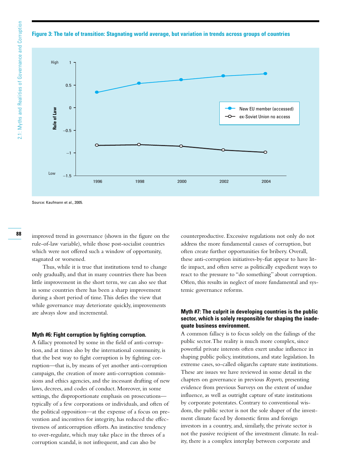



improved trend in governance (shown in the figure on the rule-of-law variable), while those post-socialist countries which were not offered such a window of opportunity, stagnated or worsened.

Thus, while it is true that institutions tend to change only gradually, and that in many countries there has been little improvement in the short term, we can also see that in some countries there has been a sharp improvement during a short period of time.This defies the view that while governance may deteriorate quickly, improvements are always slow and incremental.

#### **Myth #6: Fight corruption by fighting corruption.**

A fallacy promoted by some in the field of anti-corruption, and at times also by the international community, is that the best way to fight corruption is by fighting corruption—that is, by means of yet another anti-corruption campaign, the creation of more anti-corruption commissions and ethics agencies, and the incessant drafting of new laws, decrees, and codes of conduct. Moreover, in some settings, the disproportionate emphasis on prosecutions typically of a few corporations or individuals, and often of the political opposition—at the expense of a focus on prevention and incentives for integrity, has reduced the effectiveness of anticorruption efforts.An instinctive tendency to over-regulate, which may take place in the throes of a corruption scandal, is not infrequent, and can also be

counterproductive. Excessive regulations not only do not address the more fundamental causes of corruption, but often create further opportunities for bribery. Overall, these anti-corruption initiatives-by-fiat appear to have little impact, and often serve as politically expedient ways to react to the pressure to "do something" about corruption. Often, this results in neglect of more fundamental and systemic governance reforms.

# **Myth #7: The culprit in developing countries is the public sector, which is solely responsible for shaping the inadequate business environment.**

A common fallacy is to focus solely on the failings of the public sector.The reality is much more complex, since powerful private interests often exert undue influence in shaping public policy, institutions, and state legislation. In extreme cases, so-called oligarchs capture state institutions. These are issues we have reviewed in some detail in the chapters on governance in previous *Reports,* presenting evidence from previous Surveys on the extent of undue influence, as well as outright capture of state institutions by corporate potentates. Contrary to conventional wisdom, the public sector is not the sole shaper of the investment climate faced by domestic firms and foreign investors in a country, and, similarly, the private sector is not the passive recipient of the investment climate. In reality, there is a complex interplay between corporate and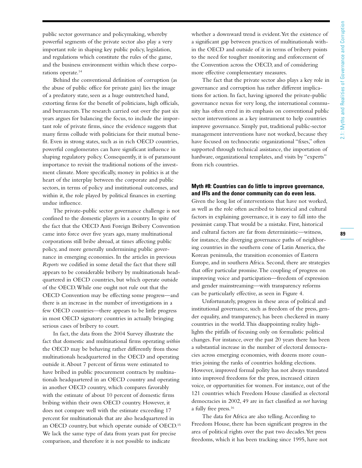public sector governance and policymaking, whereby powerful segments of the private sector also play a very important role in shaping key public policy, legislation, and regulations which constitute the rules of the game, and the business environment within which these corporations operate.<sup>14</sup>

Behind the conventional definition of corruption (as the abuse of public office for private gain) lies the image of a predatory state, seen as a huge outstretched hand, extorting firms for the benefit of politicians, high officials, and bureaucrats.The research carried out over the past six years argues for balancing the focus, to include the important role of private firms, since the evidence suggests that many firms collude with politicians for their mutual benefit. Even in strong states, such as in rich OECD countries, powerful conglomerates can have significant influence in shaping regulatory policy. Consequently, it is of paramount importance to revisit the traditional notions of the investment climate. More specifically, money in politics is at the heart of the interplay between the corporate and public sectors, in terms of policy and institutional outcomes, and within it, the role played by political finances in exerting undue influence.

The private-public sector governance challenge is not confined to the domestic players in a country. In spite of the fact that the OECD Anti Foreign Bribery Convention came into force over five years ago, many multinational corporations still bribe abroad, at times affecting public policy, and more generally undermining public governance in emerging economies. In the articles in previous *Reports* we codified in some detail the fact that there still appears to be considerable bribery by multinationals headquartered in OECD countries, but which operate outside of the OECD.While one ought not rule out that the OECD Convention may be effecting some progress—and there is an increase in the number of investigations in a few OECD countries—there appears to be little progress in most OECD signatory countries in actually bringing serious cases of bribery to court.

In fact, the data from the 2004 Survey illustrate the fact that domestic and multinational firms operating *within* the OECD may be behaving rather differently from those multinationals headquartered in the OECD and operating outside it.About 7 percent of firms were estimated to have bribed in public procurement contracts by multinationals headquartered in an OECD country and operating in another OECD country, which compares favorably with the estimate of about 10 percent of domestic firms bribing within their own OECD country. However, it does not compare well with the estimate exceeding 17 percent for multinationals that are also headquartered in an OECD country, but which operate outside of OECD.<sup>15</sup> We lack the same type of data from years past for precise comparison, and therefore it is not possible to indicate

whether a downward trend is evident.Yet the existence of a significant gap between practices of multinationals within the OECD and outside of it in terms of bribery points to the need for tougher monitoring and enforcement of the Convention across the OECD, and of considering more effective complementary measures.

The fact that the private sector also plays a key role in governance and corruption has rather different implications for action. In fact, having ignored the private-public governance nexus for very long, the international community has often erred in its emphasis on conventional public sector interventions as a key instrument to help countries improve governance. Simply put, traditional public-sector management interventions have not worked, because they have focused on technocratic organizational "fixes," often supported through technical assistance, the importation of hardware, organizational templates, and visits by "experts" from rich countries.

# **Myth #8: Countries can do little to improve governance, and IFIs and the donor community can do even less.**

Given the long list of interventions that have not worked, as well as the role often ascribed to historical and cultural factors in explaining governance, it is easy to fall into the pessimist camp.That would be a mistake. First, historical and cultural factors are far from deterministic—witness, for instance, the diverging governance paths of neighboring countries in the southern cone of Latin America, the Korean peninsula, the transition economies of Eastern Europe, and in southern Africa. Second, there are strategies that offer particular promise.The coupling of progress on improving voice and participation—freedom of expression and gender mainstreaming—with transparency reforms can be particularly effective, as seen in Figure 4.

Unfortunately, progress in these areas of political and institutional governance, such as freedom of the press, gender equality, and transparency, has been checkered in many countries in the world.This disappointing reality highlights the pitfalls of focusing only on formalistic political changes. For instance, over the past 20 years there has been a substantial increase in the number of electoral democracies across emerging economies, with dozens more countries joining the ranks of countries holding elections. However, improved formal polity has not always translated into improved freedoms for the press, increased citizen voice, or opportunities for women. For instance, out of the 121 countries which Freedom House classified as electoral democracies in 2002, 49 are in fact classified as *not* having a fully free press.<sup>16</sup>

The data for Africa are also telling.According to Freedom House, there has been significant progress in the area of political rights over the past two decades.Yet press freedoms, which it has been tracking since 1995, have not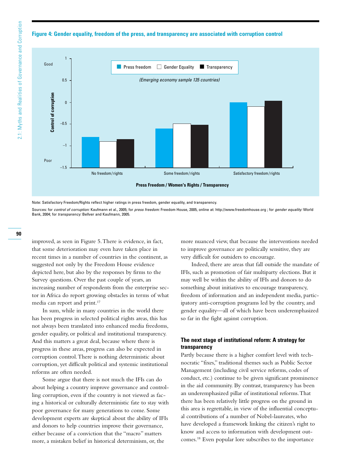#### **Figure 4: Gender equality, freedom of the press, and transparency are associated with corruption control**



Note: Satisfactory Freedom/Rights reflect higher ratings in press freedom, gender equality, and transparency.

Sources: for *control of corruption:* Kaufmann et al., 2005; for *press freedom:* Freedom House, 2005, online at: http://www.freedomhouse.org ; for *gender equality:* World<br>Bank, 2004; for *transparency:* Bellver and Kaufm

improved, as seen in Figure 5.There is evidence, in fact, that some deterioration may even have taken place in recent times in a number of countries in the continent, as suggested not only by the Freedom House evidence depicted here, but also by the responses by firms to the Survey questions. Over the past couple of years, an increasing number of respondents from the enterprise sector in Africa do report growing obstacles in terms of what media can report and print.<sup>17</sup>

In sum, while in many countries in the world there has been progress in selected political rights areas, this has not always been translated into enhanced media freedoms, gender equality, or political and institutional transparency. And this matters a great deal, because where there is progress in these areas, progress can also be expected in corruption control.There is nothing deterministic about corruption, yet difficult political and systemic institutional reforms are often needed.

Some argue that there is not much the IFIs can do about helping a country improve governance and controlling corruption, even if the country is not viewed as facing a historical or culturally deterministic fate to stay with poor governance for many generations to come. Some development experts are skeptical about the ability of IFIs and donors to help countries improve their governance, either because of a conviction that the "macro" matters more, a mistaken belief in historical determinism, or, the

more nuanced view, that because the interventions needed to improve governance are politically sensitive, they are very difficult for outsiders to encourage.

Indeed, there are areas that fall outside the mandate of IFIs, such as promotion of fair multiparty elections. But it may well be within the ability of IFIs and donors to do something about initiatives to encourage transparency, freedom of information and an independent media, participatory anti-corruption programs led by the country, and gender equality—all of which have been underemphasized so far in the fight against corruption.

# **The next stage of institutional reform: A strategy for transparency**

Partly because there is a higher comfort level with technocratic "fixes," traditional themes such as Public Sector Management (including civil service reforms, codes of conduct, etc.) continue to be given significant prominence in the aid community. By contrast, transparency has been an underemphasized pillar of institutional reforms.That there has been relatively little progress on the ground in this area is regrettable, in view of the influential conceptual contributions of a number of Nobel-laureates, who have developed a framework linking the citizen's right to know and access to information with development outcomes.<sup>18</sup> Even popular lore subscribes to the importance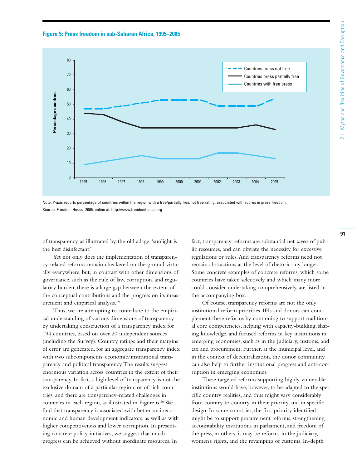



Note: Y-axis reports percentage of countries within the region with a free/partially free/not free rating, associated with scores in press freedom.

of transparency, as illustrated by the old adage "sunlight is the best disinfectant."

Yet not only does the implementation of transparency-related reforms remain checkered on the ground virtually everywhere, but, in contrast with other dimensions of governance, such as the rule of law, corruption, and regulatory burden, there is a large gap between the extent of the conceptual contributions and the progress on its measurement and empirical analysis.<sup>19</sup>

Thus, we are attempting to contribute to the empirical understanding of various dimensions of transparency by undertaking construction of a transparency index for 194 countries, based on over 20 independent sources (including the Survey). Country ratings and their margins of error are generated, for an aggregate transparency index with two subcomponents: economic/institutional transparency and political transparency.The results suggest enormous variation across countries in the extent of their transparency. In fact, a high level of transparency is not the exclusive domain of a particular region, or of rich countries, and there are transparency-related challenges in countries in each region, as illustrated in Figure 6.<sup>20</sup> We find that transparency is associated with better socioeconomic and human development indicators, as well as with higher competitiveness and lower corruption. In presenting concrete policy initiatives, we suggest that much progress can be achieved without inordinate resources. In

fact, transparency reforms are substantial net *savers* of public resources, and can obviate the necessity for excessive regulations or rules.And transparency reforms need not remain abstractions at the level of rhetoric any longer. Some concrete examples of concrete reforms, which some countries have taken selectively, and which many more could consider undertaking comprehensively, are listed in the accompanying box.

Of course, transparency reforms are not the only institutional reform priorities. IFIs and donors can complement these reforms by continuing to support traditional core competencies, helping with capacity-building, sharing knowledge, and focused reforms in key institutions in emerging economies, such as in the judiciary, customs, and tax and procurement. Further, at the municipal level, and in the context of decentralization, the donor community can also help to further institutional progress and anti-corruption in emerging economies.

These targeted reforms supporting highly vulnerable institutions would have, however, to be adapted to the specific country realities, and thus might vary considerably from country to country in their priority and in specific design. In some countries, the first priority identified might be to support procurement reforms, strengthening accountability institutions in parliament, and freedom of the press; in others, it may be reforms in the judiciary, women's rights, and the revamping of customs. In-depth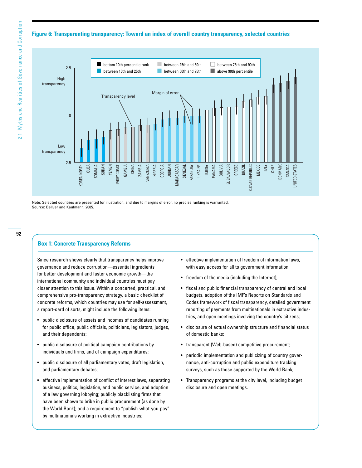#### **Figure 6: Transparenting transparency: Toward an index of overall country transparency, selected countries**



Note: Selected countries are presented for illustration, and due to margins of error, no precise ranking is warranted. Source: Bellver and Kaufmann, 2005.

2.1: Myths and Realities of Governance and Corruption

# **Box 1: Concrete Transparency Reforms**

Since research shows clearly that transparency helps improve governance and reduce corruption—essential ingredients for better development and faster economic growth—the international community and individual countries must pay closer attention to this issue. Within a concerted, practical, and comprehensive pro-transparency strategy, a basic checklist of concrete reforms, which countries may use for self-assessment, a report-card of sorts, might include the following items:

- public disclosure of assets and incomes of candidates running for public office, public officials, politicians, legislators, judges, and their dependents;
- public disclosure of political campaign contributions by individuals and firms, and of campaign expenditures;
- public disclosure of all parliamentary votes, draft legislation, and parliamentary debates;
- effective implementation of conflict of interest laws, separating business, politics, legislation, and public service, and adoption of a law governing lobbying; publicly blacklisting firms that have been shown to bribe in public procurement (as done by the World Bank); and a requirement to "publish-what-you-pay" by multinationals working in extractive industries;
- effective implementation of freedom of information laws, with easy access for all to government information;
- freedom of the media (including the Internet);
- fiscal and public financial transparency of central and local budgets, adoption of the IMF's Reports on Standards and Codes framework of fiscal transparency, detailed government reporting of payments from multinationals in extractive industries, and open meetings involving the country's citizens;
- disclosure of actual ownership structure and financial status of domestic banks;
- transparent (Web-based) competitive procurement;
- periodic implementation and publicizing of country governance, anti-corruption and public expenditure tracking surveys, such as those supported by the World Bank;
- Transparency programs at the city level, including budget disclosure and open meetings.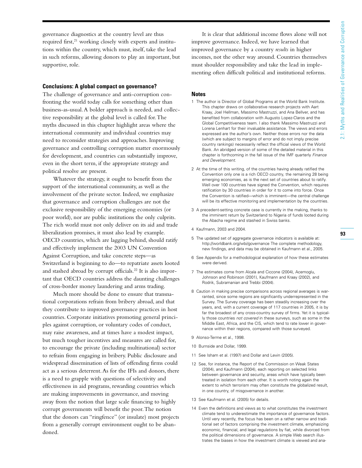governance diagnostics at the country level are thus required first,<sup>21</sup> working closely with experts and institutions within the country, which must, itself, take the lead in such reforms, allowing donors to play an important, but supportive, role.

#### **Conclusions: A global compact on governance?**

The challenge of governance and anti-corruption confronting the world today calls for something other than business-as-usual.A bolder approach is needed, and collective responsibility at the global level is called for.The myths discussed in this chapter highlight areas where the international community and individual countries may need to reconsider strategies and approaches. Improving governance and controlling corruption matter enormously for development, and countries can substantially improve, even in the short term, if the appropriate strategy and political resolve are present.

Whatever the strategy, it ought to benefit from the support of the international community, as well as the involvement of the private sector. Indeed, we emphasize that governance and corruption challenges are not the exclusive responsibility of the emerging economies (or poor world), nor are public institutions the only culprits. The rich world must not only deliver on its aid and trade liberalization promises, it must also lead by example. OECD countries, which are lagging behind, should ratify and effectively implement the 2003 UN Convention Against Corruption, and take concrete steps—as Switzerland is beginning to do—to repatriate assets looted and stashed abroad by corrupt officials.<sup>22</sup> It is also important that OECD countries address the daunting challenges of cross-border money laundering and arms trading.

Much more should be done to ensure that transnational corporations refrain from bribery abroad, and that they contribute to improved governance practices in host countries. Corporate initiatives promoting general principles against corruption, or voluntary codes of conduct, may raise awareness, and at times have a modest impact, but much tougher incentives and measures are called for, to encourage the private (including multinational) sector to refrain from engaging in bribery. Public disclosure and widespread dissemination of lists of offending firms could act as a serious deterrent.As for the IFIs and donors, there is a need to grapple with questions of selectivity and effectiveness in aid programs, rewarding countries which are making improvements in governance, and moving away from the notion that large scale financing to highly corrupt governments will benefit the poor.The notion that the donors can "ringfence" (or insulate) most projects from a generally corrupt environment ought to be abandoned.

It is clear that additional income flows alone will not improve governance. Indeed, we have learned that improved governance by a country *results* in higher incomes, not the other way around. Countries themselves must shoulder responsibility and take the lead in implementing often difficult political and institutional reforms.

#### **Notes**

- 1 The author is Director of Global Programs at the World Bank Institute. This chapter draws on collaborative research projects with Aart Kraay, Joel Hellman, Massimo Mastruzzi, and Ana Bellver, and has benefited from collaboration with Augusto Lopez-Claros and the Global Competitiveness team. I also thank Massimo Mastruzzi and Lorena Lenhart for their invaluable assistance. The views and errors expressed are the author's own. Neither those errors nor the data (which are subject to margins of error and do not imply precise country rankings) necessarily reflect the official views of the World Bank. An abridged version of some of the detailed material in this chapter is forthcoming in the fall issue of the IMF quarterly Finance and Development.
- 2 At the time of this writing, of the countries having already ratified the Convention only one is a rich OECD country, the remaining 28 being emerging economies, as is the next set of countries about to ratify. Well over 100 countries have signed the Convention, which requires ratification by 30 countries in order for it to come into force. Once the Convention is ratified—which is imminent—the central challenge will be its effective monitoring and implementation by the countries.
- 3 A precedent-setting concrete case is currently in the making, thanks to the imminent return by Switzerland to Nigeria of funds looted during the Abacha regime and stashed in Swiss banks.
- 4 Kaufmann, 2003 and 2004.
- 5 The updated set of aggregate governance indicators is available at: http://worldbank.org/wbi/governance The complete methodology, new findings, and data may be obtained in Kaufmann et al., 2005.
- 6 See Appendix for a methodological explanation of how these estimates were derived.
- 7 The estimates come from Alcala and Ciccone (2004), Acemoglu, Johnson and Robinson (2001), Kaufmann and Kraay (2002), and Rodrik, Subramanian and Trebbi (2004).
- 8 Caution in making precise comparisons across regional averages is warranted, since some regions are significantly underrepresented in the Survey. The Survey coverage has been steadily increasing over the years, and, with a current coverage of 117 countries in 2005, it is by far the broadest of any cross-country survey of firms. Yet it is typically those countries not covered in these surveys, such as some in the Middle East, Africa, and the CIS, which tend to rate lower in governance within their regions, compared with those surveyed.
- 9 Alonso-Terme et al., 1998.
- 10 Burnside and Dollar, 1999.
- 11 See Isham et al. (1997) and Dollar and Levin (2005).
- 12 See, for instance, the Report of the Commission on Weak States (2004), and Kaufmann (2004), each reporting on selected links between governance and security, areas which have typically been treated in isolation from each other. It is worth noting again the extent to which terrorism may often constitute the globalized result, in one country, of misgovernance in another.
- 13 See Kaufmann et al. (2005) for details.
- 14 Even the definitions and views as to what constitutes the investment climate tend to underestimate the importance of governance factors. Until very recently, the focus has been on a rather narrow and traditional set of factors comprising the investment climate, emphasizing economic, financial, and legal regulations by fiat, while divorced from the political dimensions of governance. A simple Web search illustrates the biases in how the investment climate is viewed and ana-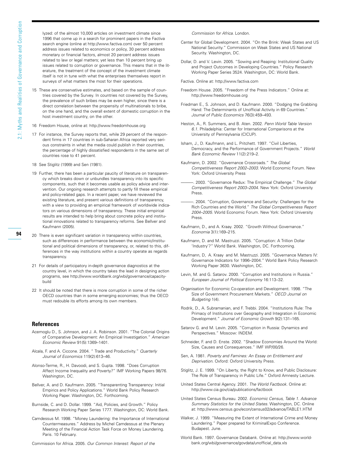lyzed: of the almost 10,000 articles on investment climate since 1996 that come up in a search for prominent papers in the Factiva search engine (online at http://www.factiva.com) over 50 percent address issues related to economics or policy, 30 percent address monetary or financial factors, almost 20 percent address issues related to law or legal matters; yet less than 10 percent bring up issues related to corruption or governance. This means that in the literature, the treatment of the concept of the investment climate itself is not in tune with what the enterprises themselves report in surveys of what matters the most for their operations.

- 15 These are conservative estimates, and based on the sample of countries covered by the Survey. In countries not covered by the Survey, the prevalence of such bribes may be even higher, since there is a direct correlation between the propensity of multinationals to bribe, on the one hand, and the overall extent of domestic corruption in the host investment country, on the other.
- 16 Freedom House, online at: http://www.freedomhouse.org
- 17 For instance, the Survey reports that, while 29 percent of the respondent firms in 17 countries in sub-Saharan Africa reported very serious constraints in what the media could publish in their countries, the percentage of highly dissatisfied respondents in the same set of countries rose to 41 percent.
- 18 See Stiglitz (1999) and Sen (1981).
- 19 Further, there has been a particular paucity of literature on transparency which breaks down or unbundles transparency into its specific components, such that it becomes usable as policy advice and intervention. Our ongoing research attempts to partly fill these empirical and policy-related gaps. In a recent paper, we have reviewed the existing literature, and present various definitions of transparency, with a view to providing an empirical framework of worldwide indicators on various dimensions of transparency. These initial empirical results are intended to help bring about concrete policy and institutional innovations related to transparency reforms. See Bellver and Kaufmann (2005).
- 20 There is even significant variation in transparency within countries, such as differences in performance between the economic/institutional and political dimensions of transparency, or, related to this, differences in the way institutions within a country operate as regards transparency.
- 21 For details of participatory in-depth governance diagnostics at the country level, in which the country takes the lead in designing action programs, see http://www.worldbank.org/wbi/governance/capacitybuild
- 22 It should be noted that there is more corruption in some of the richer OECD countries than in some emerging economies; thus the OECD must redouble its efforts among its own members.

#### **References**

- Acemoglu D., S. Johnson, and J. A. Robinson. 2001. "The Colonial Origins of Comparative Development: An Empirical Investigation." American Economic Review 91(5):1369–1401.
- Alcala, F. and A. Ciccone. 2004. " Trade and Productivity." Quarterly Journal of Economics 119(2):613–46.
- Alonso-Terme, R., H. Davoodi, and S. Gupta. 1998. "Does Corruption Affect Income Inequality and Poverty?" IMF Working Papers 98/76. Washington, DC.
- Bellver, A. and D. Kaufmann. 2005. "Transparenting Transparency: Initial Empirics and Policy Applications." World Bank Policy Research Working Paper. Washington, DC. Forthcoming.
- Burnside, C. and D. Dollar. 1999. "Aid, Policies, and Growth." Policy Research Working Paper Series 1777. Washington, DC: World Bank.
- Camdessus M. 1998. "Money Laundering: the Importance of International Countermeasures." Address by Michel Camdessus at the Plenary Meeting of the Financial Action Task Force on Money Laundering. Paris. 10 February.

Commission for Africa. 2005. Our Common Interest: Report of the

Commission for Africa. London.

- Center for Global Development. 2004. "On the Brink: Weak States and US National Security." Commission on Weak States and US National Security. Washington, DC.
- Dollar, D. and V. Levin. 2005. "Sowing and Reaping: Institutional Quality and Project Outcomes in Developing Countries." Policy Research Working Paper Series 3524. Washington, DC: World Bank.

Factiva. Online at: http://www.factiva.com

- Freedom House. 2005. "Freedom of the Press Indicators." Online at: http://www.freedomhouse.org
- Friedman E., S. Johnson, and D. Kaufmann. 2000. "Dodging the Grabbing Hand: The Determinants of Unofficial Activity in 69 Countries." Journal of Public Economics 76(3):459–493.
- Heston, A., R. Summers, and B. Aten. 2002. Penn World Table Version 6.1. Philadelphia: Center for International Comparisons at the University of Pennsylvania (CICUP).
- Isham, J., D. Kaufmann, and L. Pritchett. 1997. "Civil Liberties, Democracy, and the Performance of Government Projects." World Bank Economic Review 11(2):219–2.
- Kaufmann, D. 2002. "Governance Crossroads." The Global Competitiveness Report 2002–2003. World Economic Forum. New York: Oxford University Press
- -. 2003. "Governance Redux: The Empirical Challenge." The Global Competitiveness Report 2003–2004. New York: Oxford University Press.
- -. 2004. "Corruption, Governance and Security: Challenges for the Rich Countries and the World." The Global Competitiveness Report 2004–2005. World Economic Forum. New York: Oxford University Press.
- Kaufmann, D., and A. Kraay. 2002. "Growth Without Governance." Economia 3(1):169–215.
- Kaufmann, D. and M. Mastruzzi. 2005. "Corruption: A Trillion Dollar 'Industry'?" World Bank. Washington, DC. Forthcoming.
- Kaufmann, D, A. Kraay and M. Mastruzzi. 2005. "Governance Matters IV: Governance Indicators for 1996–2004." World Bank Policy Research Working Paper 3630. Washington, DC.
- Levin, M. and G. Satarov. 2000. "Corruption and Institutions in Russia." European Journal of Political Economy 16:113–32.
- Organisation for Economic Co-operation and Development. 1998. "The Size of Government Procurement Markets." OECD Journal on Budgeting 1(4).
- Rodrik, D., A. Subramanian, and F. Trebbi. 2004. "Institutions Rule: The Primacy of Institutions over Geography and Integration in Economic Development." Journal of Economic Growth 9(2):131–165.
- Satarov G. and M. Levin. 2005. "Corruption in Russia: Dynamics and Perspectives." Moscow: INDEM.
- Schneider, F. and D. Enste. 2002. "Shadow Economies Around the World: Size, Causes and Consequences." IMF WP/00/26.
- Sen, A. 1981. Poverty and Famines: An Essay on Entitlement and Deprivation. Oxford: Oxford University Press.
- Stiglitz, J. E. 1999. "On Liberty, the Right to Know, and Public Disclosure: The Role of Transparency in Public Life." Oxford Amnesty Lecture.
- United States Central Agency. 2001. The World Factbook. Online at: http://www.cia.gov/cia/publications/factbook
- United States Census Bureau. 2002. Economic Census, Table 1. Advance Summary Statistics for the United States. Washington, DC. Online at: http://www.census.gov/econ/census02/advance/TABLE1.HTM
- Walker, J. 1999. "Measuring the Extent of International Crime and Money Laundering." Paper prepared for KriminalExpo Conference. Budapest. June.
- World Bank. 1997. Governance Databank. Online at: http://www.worldbank.org/wbi/governance/govdata/unofficial\_data.xls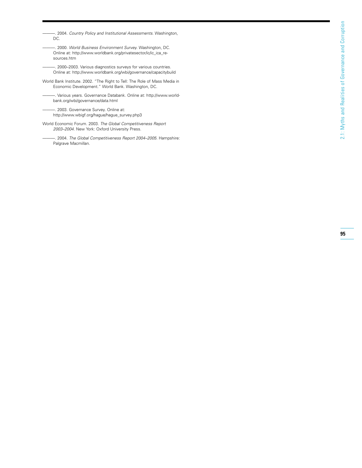-. 2004. Country Policy and Institutional Assessments. Washington, DC.

- 2000. World Business Environment Survey. Washington, DC. Online at: http://www.worldbank.org/privatesector/ic/ic\_ica\_resources.htm
- -. 2000-2003. Various diagnostics surveys for various countries. Online at: http://www.worldbank.org/wbi/governance/capacitybuild
- World Bank Institute. 2002. "The Right to Tell: The Role of Mass Media in Economic Development." World Bank. Washington, DC.
- -. Various years. Governance Databank. Online at: http://www.worldbank.org/wbi/governance/data.html

. 2003. Governance Survey. Online at: http://www.wbigf.org/hague/hague\_survey.php3

- World Economic Forum. 2003. The Global Competitiveness Report 2003–2004. New York: Oxford University Press.
- -. 2004. The Global Competitiveness Report 2004-2005. Hampshire: Palgrave Macmillan.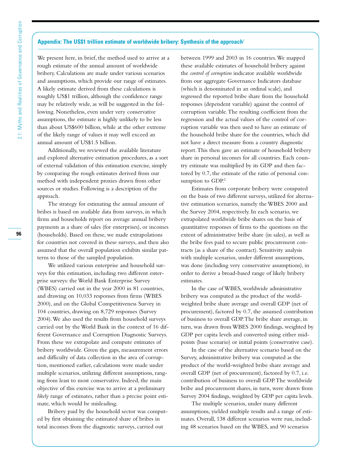#### **Appendix: The US\$1 trillion estimate of worldwide bribery: Synthesis of the approach**<sup>1</sup>

We present here, in brief, the method used to arrive at a rough estimate of the annual amount of worldwide bribery. Calculations are made under various scenarios and assumptions, which provide our range of estimates. A likely estimate derived from these calculations is roughly US\$1 trillion, although the confidence range may be relatively wide, as will be suggested in the following. Nonetheless, even under very conservative assumptions, the estimate is highly unlikely to be less than about US\$600 billion, while at the other extreme of the likely range of values it may well exceed an annual amount of US\$1.5 billion.

Additionally, we reviewed the available literature and explored alternative estimation procedures, as a sort of external validation of this estimation exercise, simply by comparing the rough estimates derived from our method with independent proxies drawn from other sources or studies. Following is a description of the approach.

The strategy for estimating the annual amount of bribes is based on available data from surveys, in which firms and households report on average annual bribery payments as a share of sales (for enterprises), or incomes (households). Based on these, we made extrapolations for countries not covered in these surveys, and then also assumed that the overall population exhibits similar patterns to those of the sampled population.

We utilized various enterprise and household surveys for this estimation, including two different enterprise surveys: the World Bank Enterprise Survey (WBES) carried out in the year 2000 in 81 countries, and drawing on 10,033 responses from firms (WBES 2000), and on the Global Competitiveness Survey in 104 countries, drawing on 8,729 responses (Survey 2004).We also used the results from household surveys carried out by the World Bank in the context of 16 different Governance and Corruption Diagnostic Surveys. From these we extrapolate and compute estimates of bribery worldwide. Given the gaps, measurement errors and difficulty of data collection in the area of corruption, mentioned earlier, calculations were made under multiple scenarios, utilizing different assumptions, ranging from least to most conservative. Indeed, the main objective of this exercise was to arrive at a preliminary *likely* range of estimates, rather than a precise point estimate, which would be misleading.

Bribery paid by the household sector was computed by first obtaining the estimated share of bribes in total incomes from the diagnostic surveys, carried out

between 1999 and 2003 in 16 countries.We mapped these available estimates of household bribery against the *control of corruption* indicator available worldwide from our aggregate Governance Indicators database (which is denominated in an ordinal scale), and regressed the reported bribe share from the household responses (dependent variable) against the control of corruption variable.The resulting coefficient from the regression and the actual values of the control of corruption variable was then used to have an estimate of the household bribe share for the countries, which did not have a direct measure from a country diagnostic report.This then gave an estimate of household bribery share in personal incomes for all countries. Each country estimate was multiplied by its GDP and then factored by 0.7, the estimate of the ratio of personal consumption to GDP.<sup>2</sup>

Estimates from corporate bribery were computed on the basis of two different surveys, utilized for alternative estimation scenarios, namely the WBES 2000 and the Survey 2004, respectively. In each scenario, we extrapolated worldwide bribe shares on the basis of quantitative responses of firms to the questions on the extent of administrative bribe share (in sales), as well as the bribe fees paid to secure public procurement contracts (as a share of the contract). Sensitivity analysis with multiple scenarios, under different assumptions, was done (including very conservative assumptions), in order to derive a broad-based range of likely bribery estimates.

In the case of WBES, worldwide administrative bribery was computed as the product of the worldweighted bribe share average and overall GDP (net of procurement), factored by 0.7, the assumed contribution of business to overall GDP.The bribe share average, in turn, was drawn from WBES 2000 findings, weighted by GDP per capita levels and converted using either midpoints (base scenario) or initial points (conservative case).

In the case of the alternative scenario based on the Survey, administrative bribery was computed as the product of the world-weighted bribe share average and overall GDP (net of procurement), factored by 0.7, i.e. contribution of business to overall GDP.The worldwide bribe and procurement shares, in turn, were drawn from Survey 2004 findings, weighted by GDP per capita levels.

The multiple scenarios, under many different assumptions, yielded multiple results and a range of estimates. Overall, 138 different scenarios were run, including 48 scenarios based on the WBES, and 90 scenarios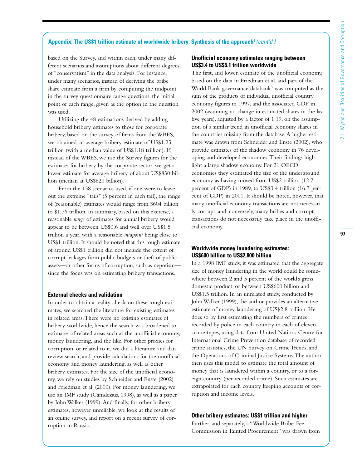# **Appendix: The US\$1 trillion estimate of worldwide bribery: Synthesis of the approach<sup>1</sup> (cont'd.)**

based on the Survey, and within each, under many different scenarios and assumptions about different degrees of "conservatism" in the data analysis. For instance, under many scenarios, instead of deriving the bribe share estimate from a firm by computing the midpoint in the survey questionnaire range questions, the initial point of each range, given as the option in the question was used.

Utilizing the 48 estimations derived by adding household bribery estimates to those for corporate bribery, based on the survey of firms from the WBES, we obtained an average bribery estimate of US\$1.25 trillion (with a median value of US\$1.18 trillion). If, instead of the WBES, we use the Survey figures for the estimates for bribery by the corporate sector, we get a lower estimate for average bribery of about US\$830 billion (median at US\$820 billion).

From the 138 scenarios used, if one were to leave out the extreme "tails" (5 percent in each tail), the range of (reasonable) estimates would range from \$604 billion to \$1.76 trillion. In summary, based on this exercise, a reasonable *range* of estimates for annual bribery would appear to be between US\$0.6 and well over US\$1.5 trillion a year, with a reasonable *midpoint* being close to US\$1 trillion. It should be noted that this rough estimate of around US\$1 trillion did not include the extent of corrupt leakages from public budgets or theft of public assets—or other forms of corruption, such as nepotism since the focus was on estimating bribery transactions.

# **External checks and validation**

In order to obtain a reality check on these rough estimates, we searched the literature for existing estimates in related areas.There were no existing estimates of bribery worldwide, hence the search was broadened to estimates of related areas such as the unofficial economy, money laundering, and the like. For other proxies for corruption, or related to it, we did a literature and data review search, and provide calculations for the unofficial economy and money laundering, as well as other bribery estimates. For the size of the unofficial economy, we rely on studies by Schneider and Enste (2002) and Friedman et al. (2000). For money laundering, we use an IMF study (Camdessus, 1998), as well as a paper by John Walker (1999).And finally, for other bribery estimates, however unreliable, we look at the results of an online survey, and report on a recent survey of corruption in Russia.

# **Unofficial economy estimates ranging between US\$3.4 to US\$5.1 trillion worldwide**

The first, and lower, estimate of the unofficial economy, based on the data in Friedman et al. and part of the World Bank governance databank<sup>3</sup> was computed as the sum of the products of individual unofficial country economy figures in 1997, and the associated GDP in 2002 (assuming no change in estimated shares in the last five years), adjusted by a factor of 1.19, on the assumption of a similar trend in unofficial economy shares in the countries missing from the database.A higher estimate was drawn from Schneider and Enste (2002), who provide estimates of the shadow economy in 76 developing and developed economies.Their findings highlight a large shadow economy. For 21 OECD economies they estimated the size of the underground economy as having moved from US\$2 trillion (12.7 percent of GDP) in 1989, to US\$3.4 trillion (16.7 percent of GDP) in 2001. It should be noted, however, that many unofficial economy transactions are not necessarily corrupt, and, conversely, many bribes and corrupt transactions do not necessarily take place in the unofficial economy.

# **Worldwide money laundering estimates: US\$600 billion to US\$2,800 billion**

In a 1998 IMF study, it was estimated that the aggregate size of money laundering in the world could be somewhere between 2 and 5 percent of the world's gross domestic product, or between US\$600 billion and US\$1.5 trillion. In an unrelated study, conducted by John Walker (1999), the author provides an alternative estimate of money laundering of US\$2.8 trillion. He does so by first estimating the numbers of crimes recorded by police in each country in each of eleven crime types, using data from United Nations Centre for International Crime Prevention database of recorded crime statistics, the UN Survey on Crime Trends, and the Operations of Criminal Justice Systems.The author then uses this model to estimate the total amount of money that is laundered within a country, or to a foreign country (per recorded crime). Such estimates are extrapolated for each country keeping accounts of corruption and income levels.

## **Other bribery estimates: US\$1 trillion and higher**

Further, and separately, a "Worldwide Bribe-Fee Commission in Tainted Procurement" was drawn from